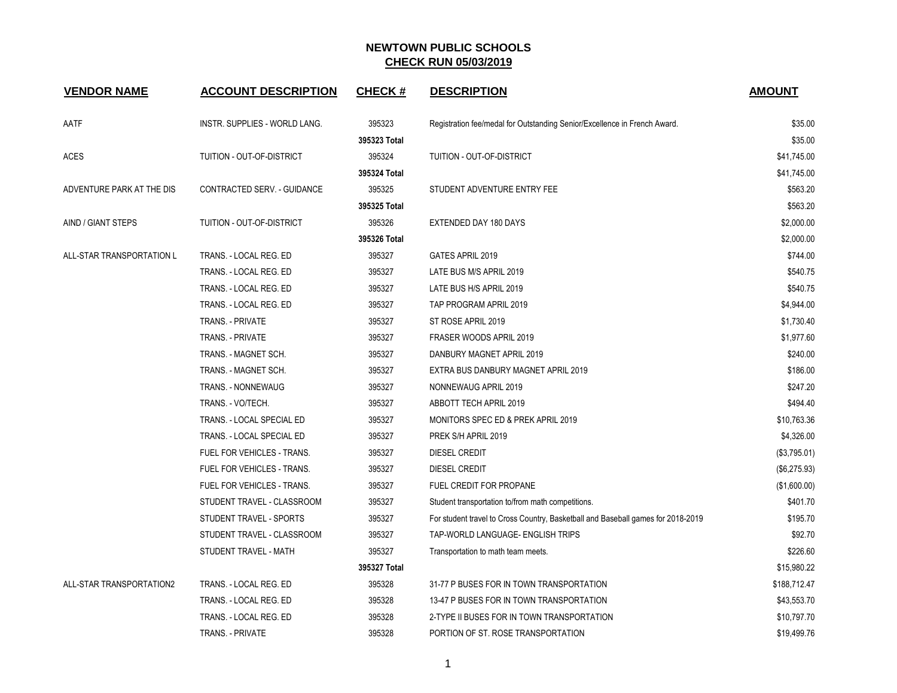| <b>VENDOR NAME</b>        | <b>ACCOUNT DESCRIPTION</b>    | <b>CHECK#</b> | <b>DESCRIPTION</b>                                                               | <b>AMOUNT</b> |
|---------------------------|-------------------------------|---------------|----------------------------------------------------------------------------------|---------------|
| AATF                      | INSTR. SUPPLIES - WORLD LANG. | 395323        | Registration fee/medal for Outstanding Senior/Excellence in French Award.        | \$35.00       |
|                           |                               | 395323 Total  |                                                                                  | \$35.00       |
| <b>ACES</b>               | TUITION - OUT-OF-DISTRICT     | 395324        | TUITION - OUT-OF-DISTRICT                                                        | \$41,745.00   |
|                           |                               | 395324 Total  |                                                                                  | \$41,745.00   |
| ADVENTURE PARK AT THE DIS | CONTRACTED SERV. - GUIDANCE   | 395325        | STUDENT ADVENTURE ENTRY FEE                                                      | \$563.20      |
|                           |                               | 395325 Total  |                                                                                  | \$563.20      |
| AIND / GIANT STEPS        | TUITION - OUT-OF-DISTRICT     | 395326        | EXTENDED DAY 180 DAYS                                                            | \$2,000.00    |
|                           |                               | 395326 Total  |                                                                                  | \$2,000.00    |
| ALL-STAR TRANSPORTATION L | TRANS. - LOCAL REG. ED        | 395327        | GATES APRIL 2019                                                                 | \$744.00      |
|                           | TRANS. - LOCAL REG. ED        | 395327        | LATE BUS M/S APRIL 2019                                                          | \$540.75      |
|                           | TRANS. - LOCAL REG. ED        | 395327        | LATE BUS H/S APRIL 2019                                                          | \$540.75      |
|                           | TRANS. - LOCAL REG. ED        | 395327        | TAP PROGRAM APRIL 2019                                                           | \$4,944.00    |
|                           | <b>TRANS. - PRIVATE</b>       | 395327        | ST ROSE APRIL 2019                                                               | \$1,730.40    |
|                           | <b>TRANS. - PRIVATE</b>       | 395327        | FRASER WOODS APRIL 2019                                                          | \$1,977.60    |
|                           | TRANS. - MAGNET SCH.          | 395327        | DANBURY MAGNET APRIL 2019                                                        | \$240.00      |
|                           | TRANS. - MAGNET SCH.          | 395327        | EXTRA BUS DANBURY MAGNET APRIL 2019                                              | \$186.00      |
|                           | <b>TRANS. - NONNEWAUG</b>     | 395327        | NONNEWAUG APRIL 2019                                                             | \$247.20      |
|                           | TRANS. - VO/TECH.             | 395327        | ABBOTT TECH APRIL 2019                                                           | \$494.40      |
|                           | TRANS. - LOCAL SPECIAL ED     | 395327        | MONITORS SPEC ED & PREK APRIL 2019                                               | \$10,763.36   |
|                           | TRANS. - LOCAL SPECIAL ED     | 395327        | PREK S/H APRIL 2019                                                              | \$4,326.00    |
|                           | FUEL FOR VEHICLES - TRANS.    | 395327        | <b>DIESEL CREDIT</b>                                                             | (\$3,795.01)  |
|                           | FUEL FOR VEHICLES - TRANS.    | 395327        | <b>DIESEL CREDIT</b>                                                             | (\$6,275.93)  |
|                           | FUEL FOR VEHICLES - TRANS.    | 395327        | <b>FUEL CREDIT FOR PROPANE</b>                                                   | (\$1,600.00)  |
|                           | STUDENT TRAVEL - CLASSROOM    | 395327        | Student transportation to/from math competitions.                                | \$401.70      |
|                           | STUDENT TRAVEL - SPORTS       | 395327        | For student travel to Cross Country, Basketball and Baseball games for 2018-2019 | \$195.70      |
|                           | STUDENT TRAVEL - CLASSROOM    | 395327        | TAP-WORLD LANGUAGE- ENGLISH TRIPS                                                | \$92.70       |
|                           | STUDENT TRAVEL - MATH         | 395327        | Transportation to math team meets.                                               | \$226.60      |
|                           |                               | 395327 Total  |                                                                                  | \$15,980.22   |
| ALL-STAR TRANSPORTATION2  | TRANS. - LOCAL REG. ED        | 395328        | 31-77 P BUSES FOR IN TOWN TRANSPORTATION                                         | \$188,712.47  |
|                           | TRANS. - LOCAL REG. ED        | 395328        | 13-47 P BUSES FOR IN TOWN TRANSPORTATION                                         | \$43,553.70   |
|                           | TRANS. - LOCAL REG. ED        | 395328        | 2-TYPE II BUSES FOR IN TOWN TRANSPORTATION                                       | \$10,797.70   |
|                           | <b>TRANS. - PRIVATE</b>       | 395328        | PORTION OF ST. ROSE TRANSPORTATION                                               | \$19,499.76   |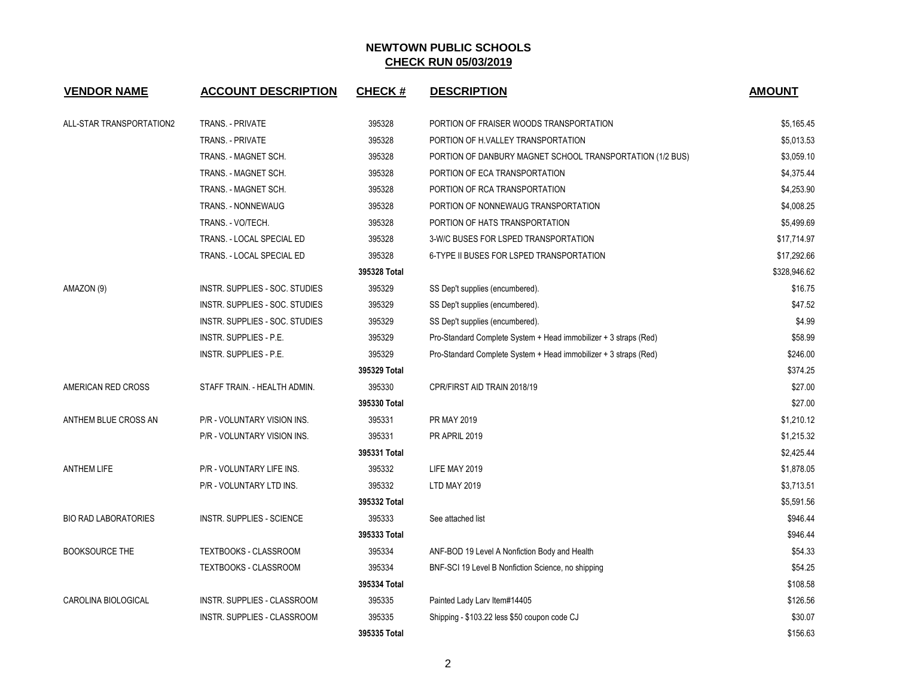| <b>VENDOR NAME</b>          | <b>ACCOUNT DESCRIPTION</b>         | <b>CHECK#</b> | <b>DESCRIPTION</b>                                               | <b>AMOUNT</b> |
|-----------------------------|------------------------------------|---------------|------------------------------------------------------------------|---------------|
| ALL-STAR TRANSPORTATION2    | <b>TRANS. - PRIVATE</b>            | 395328        | PORTION OF FRAISER WOODS TRANSPORTATION                          | \$5,165.45    |
|                             | <b>TRANS. - PRIVATE</b>            | 395328        | PORTION OF H.VALLEY TRANSPORTATION                               | \$5,013.53    |
|                             | TRANS. - MAGNET SCH.               | 395328        | PORTION OF DANBURY MAGNET SCHOOL TRANSPORTATION (1/2 BUS)        | \$3,059.10    |
|                             | TRANS. - MAGNET SCH.               | 395328        | PORTION OF ECA TRANSPORTATION                                    | \$4,375.44    |
|                             | TRANS. - MAGNET SCH.               | 395328        | PORTION OF RCA TRANSPORTATION                                    | \$4,253.90    |
|                             | TRANS. - NONNEWAUG                 | 395328        | PORTION OF NONNEWAUG TRANSPORTATION                              | \$4,008.25    |
|                             | TRANS. - VO/TECH.                  | 395328        | PORTION OF HATS TRANSPORTATION                                   | \$5,499.69    |
|                             | TRANS. - LOCAL SPECIAL ED          | 395328        | 3-W/C BUSES FOR LSPED TRANSPORTATION                             | \$17,714.97   |
|                             | TRANS. - LOCAL SPECIAL ED          | 395328        | 6-TYPE II BUSES FOR LSPED TRANSPORTATION                         | \$17,292.66   |
|                             |                                    | 395328 Total  |                                                                  | \$328,946.62  |
| AMAZON (9)                  | INSTR. SUPPLIES - SOC. STUDIES     | 395329        | SS Dep't supplies (encumbered).                                  | \$16.75       |
|                             | INSTR. SUPPLIES - SOC. STUDIES     | 395329        | SS Dep't supplies (encumbered).                                  | \$47.52       |
|                             | INSTR. SUPPLIES - SOC. STUDIES     | 395329        | SS Dep't supplies (encumbered).                                  | \$4.99        |
|                             | INSTR. SUPPLIES - P.E.             | 395329        | Pro-Standard Complete System + Head immobilizer + 3 straps (Red) | \$58.99       |
|                             | INSTR. SUPPLIES - P.E.             | 395329        | Pro-Standard Complete System + Head immobilizer + 3 straps (Red) | \$246.00      |
|                             |                                    | 395329 Total  |                                                                  | \$374.25      |
| AMERICAN RED CROSS          | STAFF TRAIN. - HEALTH ADMIN.       | 395330        | CPR/FIRST AID TRAIN 2018/19                                      | \$27.00       |
|                             |                                    | 395330 Total  |                                                                  | \$27.00       |
| ANTHEM BLUE CROSS AN        | P/R - VOLUNTARY VISION INS.        | 395331        | <b>PR MAY 2019</b>                                               | \$1,210.12    |
|                             | P/R - VOLUNTARY VISION INS.        | 395331        | PR APRIL 2019                                                    | \$1,215.32    |
|                             |                                    | 395331 Total  |                                                                  | \$2,425.44    |
| <b>ANTHEM LIFE</b>          | P/R - VOLUNTARY LIFE INS.          | 395332        | LIFE MAY 2019                                                    | \$1,878.05    |
|                             | P/R - VOLUNTARY LTD INS.           | 395332        | <b>LTD MAY 2019</b>                                              | \$3,713.51    |
|                             |                                    | 395332 Total  |                                                                  | \$5,591.56    |
| <b>BIO RAD LABORATORIES</b> | <b>INSTR. SUPPLIES - SCIENCE</b>   | 395333        | See attached list                                                | \$946.44      |
|                             |                                    | 395333 Total  |                                                                  | \$946.44      |
| <b>BOOKSOURCE THE</b>       | <b>TEXTBOOKS - CLASSROOM</b>       | 395334        | ANF-BOD 19 Level A Nonfiction Body and Health                    | \$54.33       |
|                             | TEXTBOOKS - CLASSROOM              | 395334        | BNF-SCI 19 Level B Nonfiction Science, no shipping               |               |
|                             |                                    | 395334 Total  |                                                                  | \$108.58      |
| CAROLINA BIOLOGICAL         | INSTR. SUPPLIES - CLASSROOM        | 395335        | Painted Lady Larv Item#14405                                     | \$126.56      |
|                             | <b>INSTR. SUPPLIES - CLASSROOM</b> | 395335        | Shipping - \$103.22 less \$50 coupon code CJ                     | \$30.07       |
|                             |                                    | 395335 Total  |                                                                  | \$156.63      |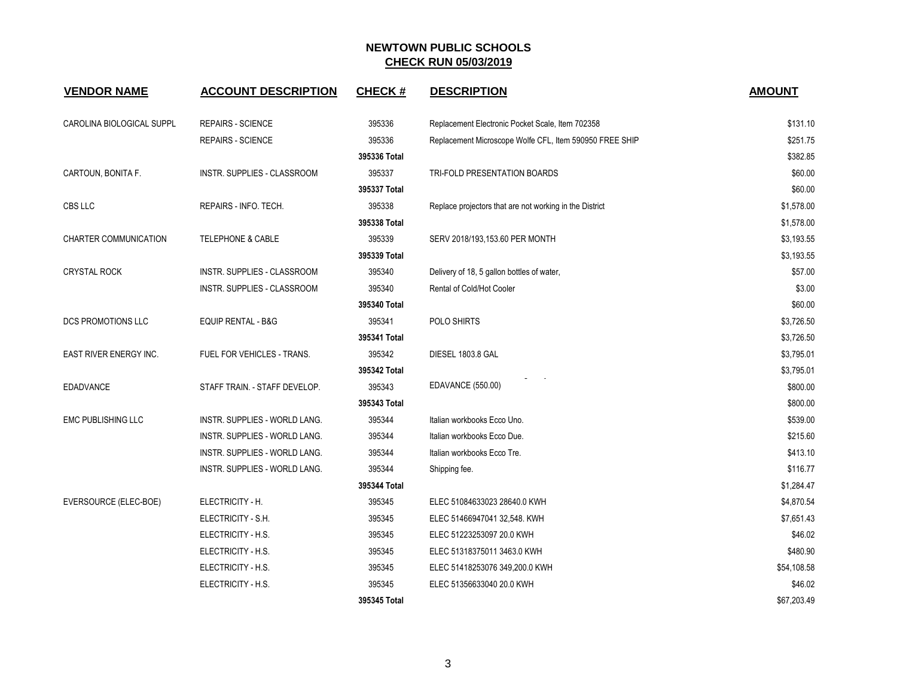| <b>VENDOR NAME</b>            | <b>ACCOUNT DESCRIPTION</b>    | <b>CHECK#</b> | <b>DESCRIPTION</b>                                      | <b>AMOUNT</b> |
|-------------------------------|-------------------------------|---------------|---------------------------------------------------------|---------------|
| CAROLINA BIOLOGICAL SUPPL     | <b>REPAIRS - SCIENCE</b>      | 395336        | Replacement Electronic Pocket Scale, Item 702358        | \$131.10      |
|                               | <b>REPAIRS - SCIENCE</b>      | 395336        | Replacement Microscope Wolfe CFL, Item 590950 FREE SHIP | \$251.75      |
|                               |                               | 395336 Total  |                                                         | \$382.85      |
| CARTOUN, BONITA F.            | INSTR. SUPPLIES - CLASSROOM   | 395337        | TRI-FOLD PRESENTATION BOARDS                            | \$60.00       |
|                               |                               | 395337 Total  |                                                         | \$60.00       |
| CBS LLC                       | REPAIRS - INFO. TECH.         | 395338        | Replace projectors that are not working in the District | \$1,578.00    |
|                               |                               | 395338 Total  |                                                         | \$1,578.00    |
| CHARTER COMMUNICATION         | <b>TELEPHONE &amp; CABLE</b>  | 395339        | SERV 2018/193,153.60 PER MONTH                          | \$3,193.55    |
|                               |                               | 395339 Total  |                                                         | \$3,193.55    |
| <b>CRYSTAL ROCK</b>           | INSTR. SUPPLIES - CLASSROOM   | 395340        | Delivery of 18, 5 gallon bottles of water,              | \$57.00       |
|                               | INSTR. SUPPLIES - CLASSROOM   | 395340        | Rental of Cold/Hot Cooler                               | \$3.00        |
|                               |                               | 395340 Total  |                                                         | \$60.00       |
| <b>DCS PROMOTIONS LLC</b>     | <b>EQUIP RENTAL - B&amp;G</b> | 395341        | POLO SHIRTS                                             | \$3,726.50    |
|                               |                               | 395341 Total  |                                                         | \$3,726.50    |
| <b>EAST RIVER ENERGY INC.</b> | FUEL FOR VEHICLES - TRANS.    | 395342        | DIESEL 1803.8 GAL                                       | \$3,795.01    |
|                               |                               | 395342 Total  |                                                         | \$3,795.01    |
| <b>EDADVANCE</b>              | STAFF TRAIN. - STAFF DEVELOP. | 395343        | EDAVANCE (550.00)                                       | \$800.00      |
|                               |                               | 395343 Total  |                                                         | \$800.00      |
| <b>EMC PUBLISHING LLC</b>     | INSTR. SUPPLIES - WORLD LANG. | 395344        | Italian workbooks Ecco Uno.                             | \$539.00      |
|                               | INSTR. SUPPLIES - WORLD LANG. | 395344        | Italian workbooks Ecco Due.                             | \$215.60      |
|                               | INSTR. SUPPLIES - WORLD LANG. | 395344        | Italian workbooks Ecco Tre.                             | \$413.10      |
|                               | INSTR. SUPPLIES - WORLD LANG. | 395344        | Shipping fee.                                           | \$116.77      |
|                               |                               | 395344 Total  |                                                         | \$1,284.47    |
| EVERSOURCE (ELEC-BOE)         | ELECTRICITY - H.              | 395345        | ELEC 51084633023 28640.0 KWH                            | \$4,870.54    |
|                               | ELECTRICITY - S.H.            | 395345        | ELEC 51466947041 32,548. KWH                            | \$7,651.43    |
|                               | ELECTRICITY - H.S.            | 395345        | ELEC 51223253097 20.0 KWH                               | \$46.02       |
|                               | ELECTRICITY - H.S.            | 395345        | ELEC 51318375011 3463.0 KWH                             | \$480.90      |
|                               | ELECTRICITY - H.S.            | 395345        | ELEC 51418253076 349,200.0 KWH                          | \$54,108.58   |
|                               | ELECTRICITY - H.S.            | 395345        | ELEC 51356633040 20.0 KWH                               | \$46.02       |
|                               |                               | 395345 Total  |                                                         | \$67,203.49   |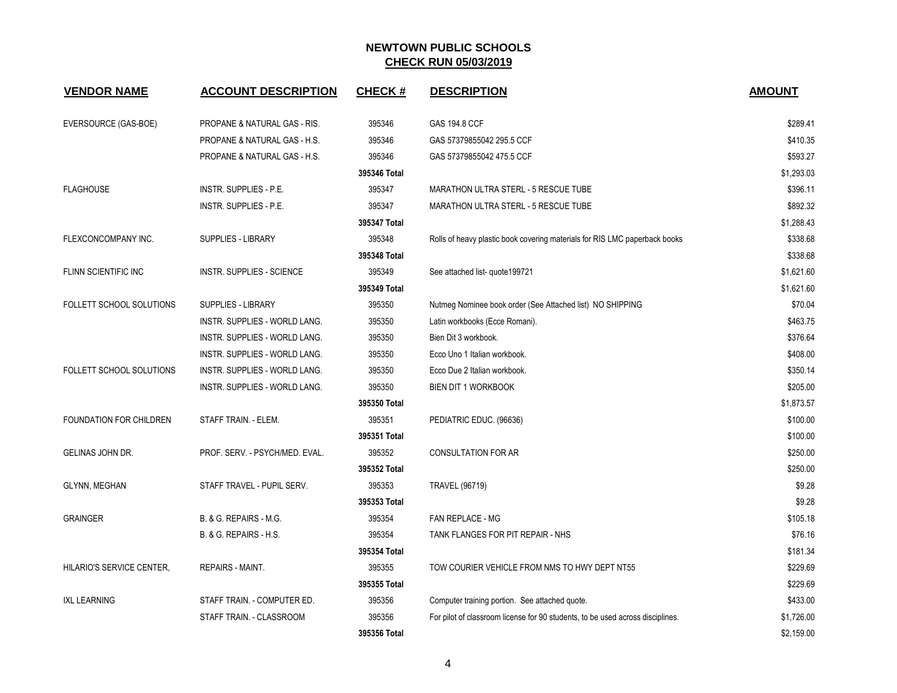| <b>VENDOR NAME</b>             | <b>ACCOUNT DESCRIPTION</b>              | <b>CHECK#</b> | <b>DESCRIPTION</b>                                                             | <b>AMOUNT</b> |
|--------------------------------|-----------------------------------------|---------------|--------------------------------------------------------------------------------|---------------|
| EVERSOURCE (GAS-BOE)           | PROPANE & NATURAL GAS - RIS.            | 395346        | GAS 194.8 CCF                                                                  | \$289.41      |
|                                | <b>PROPANE &amp; NATURAL GAS - H.S.</b> | 395346        | GAS 57379855042 295.5 CCF                                                      | \$410.35      |
|                                | PROPANE & NATURAL GAS - H.S.            | 395346        | GAS 57379855042 475.5 CCF                                                      | \$593.27      |
|                                |                                         | 395346 Total  |                                                                                | \$1,293.03    |
| <b>FLAGHOUSE</b>               | INSTR. SUPPLIES - P.E.                  | 395347        | MARATHON ULTRA STERL - 5 RESCUE TUBE                                           | \$396.11      |
|                                | INSTR. SUPPLIES - P.E.                  | 395347        | MARATHON ULTRA STERL - 5 RESCUE TUBE                                           |               |
|                                |                                         | 395347 Total  |                                                                                | \$1,288.43    |
| FLEXCONCOMPANY INC.            | SUPPLIES - LIBRARY                      | 395348        | Rolls of heavy plastic book covering materials for RIS LMC paperback books     | \$338.68      |
|                                |                                         | 395348 Total  |                                                                                | \$338.68      |
| FLINN SCIENTIFIC INC           | <b>INSTR. SUPPLIES - SCIENCE</b>        | 395349        | See attached list- quote 199721                                                | \$1,621.60    |
|                                |                                         | 395349 Total  |                                                                                | \$1,621.60    |
| FOLLETT SCHOOL SOLUTIONS       | SUPPLIES - LIBRARY                      | 395350        | Nutmeg Nominee book order (See Attached list) NO SHIPPING                      | \$70.04       |
|                                | INSTR. SUPPLIES - WORLD LANG.           | 395350        | Latin workbooks (Ecce Romani).                                                 | \$463.75      |
|                                | INSTR. SUPPLIES - WORLD LANG.           | 395350        | Bien Dit 3 workbook.                                                           | \$376.64      |
|                                | INSTR. SUPPLIES - WORLD LANG.           | 395350        | Ecco Uno 1 Italian workbook.                                                   | \$408.00      |
| FOLLETT SCHOOL SOLUTIONS       | INSTR. SUPPLIES - WORLD LANG.           | 395350        | Ecco Due 2 Italian workbook.                                                   | \$350.14      |
|                                | INSTR. SUPPLIES - WORLD LANG.           | 395350        | <b>BIEN DIT 1 WORKBOOK</b>                                                     | \$205.00      |
|                                |                                         | 395350 Total  |                                                                                | \$1,873.57    |
| <b>FOUNDATION FOR CHILDREN</b> | STAFF TRAIN. - ELEM.                    | 395351        | PEDIATRIC EDUC. (96636)                                                        | \$100.00      |
|                                |                                         | 395351 Total  |                                                                                | \$100.00      |
| <b>GELINAS JOHN DR.</b>        | PROF. SERV. - PSYCH/MED. EVAL.          | 395352        | <b>CONSULTATION FOR AR</b>                                                     | \$250.00      |
|                                |                                         | 395352 Total  |                                                                                | \$250.00      |
| GLYNN, MEGHAN                  | STAFF TRAVEL - PUPIL SERV.              | 395353        | <b>TRAVEL (96719)</b>                                                          | \$9.28        |
|                                |                                         | 395353 Total  |                                                                                | \$9.28        |
| <b>GRAINGER</b>                | B. & G. REPAIRS - M.G.                  | 395354        | <b>FAN REPLACE - MG</b>                                                        | \$105.18      |
|                                | B. & G. REPAIRS - H.S.                  | 395354        | TANK FLANGES FOR PIT REPAIR - NHS                                              | \$76.16       |
|                                |                                         | 395354 Total  |                                                                                | \$181.34      |
| HILARIO'S SERVICE CENTER,      | <b>REPAIRS - MAINT.</b>                 | 395355        | TOW COURIER VEHICLE FROM NMS TO HWY DEPT NT55                                  | \$229.69      |
|                                |                                         | 395355 Total  |                                                                                | \$229.69      |
| <b>IXL LEARNING</b>            | STAFF TRAIN. - COMPUTER ED.             | 395356        | Computer training portion. See attached quote.                                 | \$433.00      |
|                                | STAFF TRAIN. - CLASSROOM                | 395356        | For pilot of classroom license for 90 students, to be used across disciplines. |               |
|                                |                                         | 395356 Total  |                                                                                | \$2,159.00    |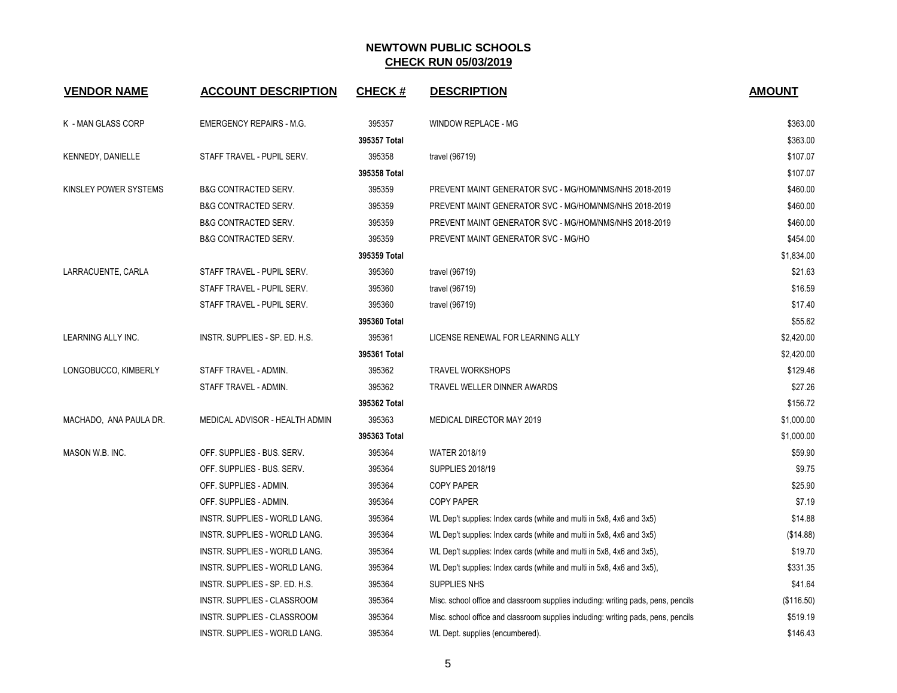| <b>VENDOR NAME</b>       | <b>ACCOUNT DESCRIPTION</b>      | <b>CHECK#</b>          | <b>DESCRIPTION</b>                                                                | <b>AMOUNT</b> |
|--------------------------|---------------------------------|------------------------|-----------------------------------------------------------------------------------|---------------|
| K - MAN GLASS CORP       | <b>EMERGENCY REPAIRS - M.G.</b> | 395357                 | WINDOW REPLACE - MG                                                               | \$363.00      |
|                          |                                 | 395357 Total           |                                                                                   | \$363.00      |
| <b>KENNEDY, DANIELLE</b> | STAFF TRAVEL - PUPIL SERV.      | 395358                 | travel (96719)                                                                    | \$107.07      |
|                          |                                 | 395358 Total           |                                                                                   | \$107.07      |
| KINSLEY POWER SYSTEMS    | <b>B&amp;G CONTRACTED SERV.</b> | 395359                 | PREVENT MAINT GENERATOR SVC - MG/HOM/NMS/NHS 2018-2019                            | \$460.00      |
|                          | <b>B&amp;G CONTRACTED SERV.</b> | 395359                 | PREVENT MAINT GENERATOR SVC - MG/HOM/NMS/NHS 2018-2019                            | \$460.00      |
|                          | <b>B&amp;G CONTRACTED SERV.</b> | 395359                 | PREVENT MAINT GENERATOR SVC - MG/HOM/NMS/NHS 2018-2019                            | \$460.00      |
|                          | B&G CONTRACTED SERV.            | 395359                 | PREVENT MAINT GENERATOR SVC - MG/HO                                               | \$454.00      |
|                          |                                 | 395359 Total           |                                                                                   | \$1,834.00    |
| LARRACUENTE, CARLA       | STAFF TRAVEL - PUPIL SERV.      | 395360                 | travel (96719)                                                                    | \$21.63       |
|                          | STAFF TRAVEL - PUPIL SERV.      | 395360                 | travel (96719)                                                                    | \$16.59       |
|                          | STAFF TRAVEL - PUPIL SERV.      | 395360                 | travel (96719)                                                                    | \$17.40       |
|                          |                                 | 395360 Total           |                                                                                   | \$55.62       |
| LEARNING ALLY INC.       | INSTR. SUPPLIES - SP. ED. H.S.  | 395361                 | LICENSE RENEWAL FOR LEARNING ALLY                                                 | \$2,420.00    |
|                          |                                 | 395361 Total           |                                                                                   | \$2,420.00    |
| LONGOBUCCO, KIMBERLY     | STAFF TRAVEL - ADMIN.           | 395362                 | <b>TRAVEL WORKSHOPS</b>                                                           | \$129.46      |
|                          | STAFF TRAVEL - ADMIN.           | 395362                 | TRAVEL WELLER DINNER AWARDS                                                       | \$27.26       |
|                          |                                 | 395362 Total           |                                                                                   | \$156.72      |
| MACHADO, ANA PAULA DR.   | MEDICAL ADVISOR - HEALTH ADMIN  | 395363                 | MEDICAL DIRECTOR MAY 2019                                                         | \$1,000.00    |
|                          |                                 | 395363 Total           |                                                                                   | \$1,000.00    |
| MASON W.B. INC.          | OFF. SUPPLIES - BUS. SERV.      | 395364                 | <b>WATER 2018/19</b>                                                              | \$59.90       |
|                          | OFF. SUPPLIES - BUS. SERV.      | 395364                 | <b>SUPPLIES 2018/19</b>                                                           | \$9.75        |
|                          | OFF. SUPPLIES - ADMIN.          | 395364                 | <b>COPY PAPER</b>                                                                 | \$25.90       |
|                          | OFF. SUPPLIES - ADMIN.          | 395364                 | <b>COPY PAPER</b>                                                                 | \$7.19        |
|                          | INSTR. SUPPLIES - WORLD LANG.   | 395364                 | WL Dep't supplies: Index cards (white and multi in 5x8, 4x6 and 3x5)              | \$14.88       |
|                          | INSTR. SUPPLIES - WORLD LANG.   | 395364                 | WL Dep't supplies: Index cards (white and multi in 5x8, 4x6 and 3x5)              | (\$14.88)     |
|                          | INSTR. SUPPLIES - WORLD LANG.   | 395364                 | WL Dep't supplies: Index cards (white and multi in 5x8, 4x6 and 3x5),             | \$19.70       |
|                          | INSTR. SUPPLIES - WORLD LANG.   | 395364                 | WL Dep't supplies: Index cards (white and multi in 5x8, 4x6 and 3x5),             | \$331.35      |
|                          | INSTR. SUPPLIES - SP. ED. H.S.  | 395364<br>SUPPLIES NHS |                                                                                   | \$41.64       |
|                          | INSTR. SUPPLIES - CLASSROOM     | 395364                 | Misc. school office and classroom supplies including: writing pads, pens, pencils |               |
|                          | INSTR. SUPPLIES - CLASSROOM     | 395364                 | Misc. school office and classroom supplies including: writing pads, pens, pencils |               |
|                          | INSTR. SUPPLIES - WORLD LANG.   | 395364                 | WL Dept. supplies (encumbered).                                                   | \$146.43      |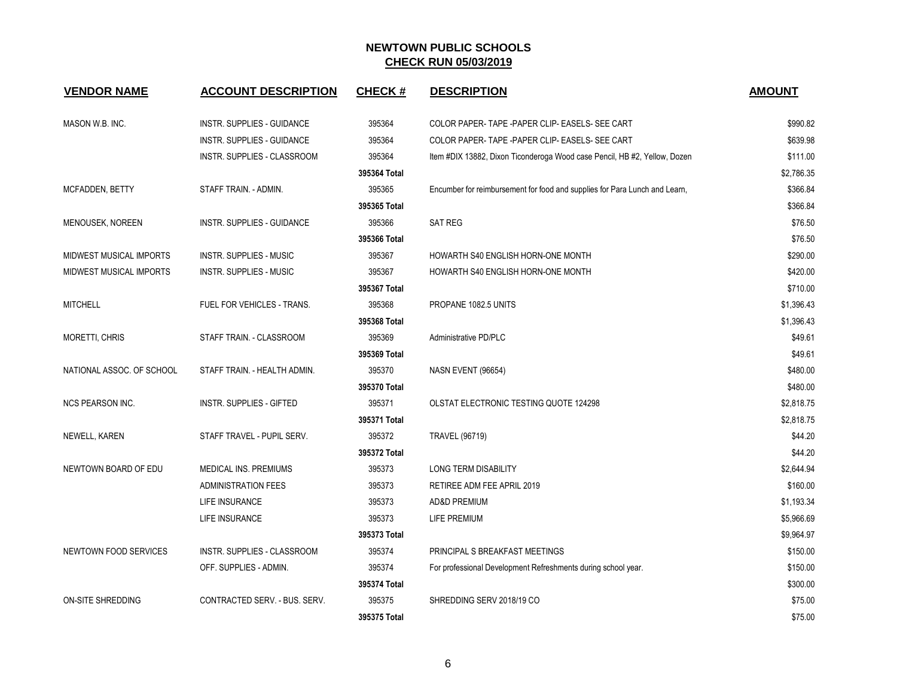| <b>VENDOR NAME</b>        | <b>ACCOUNT DESCRIPTION</b>         | <b>CHECK#</b> | <b>DESCRIPTION</b>                                                         | <b>AMOUNT</b> |
|---------------------------|------------------------------------|---------------|----------------------------------------------------------------------------|---------------|
| MASON W.B. INC.           | INSTR. SUPPLIES - GUIDANCE         | 395364        | COLOR PAPER-TAPE - PAPER CLIP- EASELS- SEE CART                            | \$990.82      |
|                           | INSTR. SUPPLIES - GUIDANCE         | 395364        | COLOR PAPER-TAPE - PAPER CLIP- EASELS- SEE CART                            | \$639.98      |
|                           | INSTR. SUPPLIES - CLASSROOM        | 395364        | Item #DIX 13882, Dixon Ticonderoga Wood case Pencil, HB #2, Yellow, Dozen  | \$111.00      |
|                           |                                    | 395364 Total  |                                                                            | \$2.786.35    |
| MCFADDEN, BETTY           | STAFF TRAIN. - ADMIN.              | 395365        | Encumber for reimbursement for food and supplies for Para Lunch and Learn, | \$366.84      |
|                           |                                    | 395365 Total  |                                                                            | \$366.84      |
| MENOUSEK, NOREEN          | <b>INSTR. SUPPLIES - GUIDANCE</b>  | 395366        | <b>SAT REG</b>                                                             | \$76.50       |
|                           |                                    | 395366 Total  |                                                                            | \$76.50       |
| MIDWEST MUSICAL IMPORTS   | <b>INSTR. SUPPLIES - MUSIC</b>     | 395367        | HOWARTH S40 ENGLISH HORN-ONE MONTH                                         | \$290.00      |
| MIDWEST MUSICAL IMPORTS   | <b>INSTR. SUPPLIES - MUSIC</b>     | 395367        | HOWARTH S40 ENGLISH HORN-ONE MONTH                                         | \$420.00      |
|                           |                                    | 395367 Total  |                                                                            | \$710.00      |
| <b>MITCHELL</b>           | FUEL FOR VEHICLES - TRANS.         | 395368        | PROPANE 1082.5 UNITS                                                       | \$1,396.43    |
|                           |                                    | 395368 Total  |                                                                            | \$1,396.43    |
| MORETTI, CHRIS            | STAFF TRAIN. - CLASSROOM           | 395369        | Administrative PD/PLC                                                      | \$49.61       |
|                           |                                    | 395369 Total  |                                                                            | \$49.61       |
| NATIONAL ASSOC. OF SCHOOL | STAFF TRAIN. - HEALTH ADMIN.       | 395370        | NASN EVENT (96654)                                                         | \$480.00      |
|                           |                                    | 395370 Total  |                                                                            | \$480.00      |
| <b>NCS PEARSON INC.</b>   | <b>INSTR. SUPPLIES - GIFTED</b>    | 395371        | <b>OLSTAT ELECTRONIC TESTING QUOTE 124298</b>                              | \$2,818.75    |
|                           |                                    | 395371 Total  |                                                                            | \$2,818.75    |
| NEWELL, KAREN             | STAFF TRAVEL - PUPIL SERV.         | 395372        | <b>TRAVEL (96719)</b>                                                      | \$44.20       |
|                           |                                    | 395372 Total  |                                                                            | \$44.20       |
| NEWTOWN BOARD OF EDU      | MEDICAL INS. PREMIUMS              | 395373        | LONG TERM DISABILITY                                                       | \$2,644.94    |
|                           | <b>ADMINISTRATION FEES</b>         | 395373        | RETIREE ADM FEE APRIL 2019                                                 | \$160.00      |
|                           | LIFE INSURANCE                     | 395373        | AD&D PREMIUM                                                               | \$1,193.34    |
|                           | LIFE INSURANCE                     | 395373        | LIFE PREMIUM                                                               | \$5,966.69    |
|                           |                                    | 395373 Total  |                                                                            | \$9,964.97    |
| NEWTOWN FOOD SERVICES     | <b>INSTR. SUPPLIES - CLASSROOM</b> | 395374        | PRINCIPAL S BREAKFAST MEETINGS                                             | \$150.00      |
|                           | OFF. SUPPLIES - ADMIN.             | 395374        | For professional Development Refreshments during school year.              | \$150.00      |
|                           |                                    | 395374 Total  |                                                                            | \$300.00      |
| <b>ON-SITE SHREDDING</b>  | CONTRACTED SERV. - BUS. SERV.      | 395375        | SHREDDING SERV 2018/19 CO                                                  | \$75.00       |
|                           |                                    | 395375 Total  |                                                                            | \$75.00       |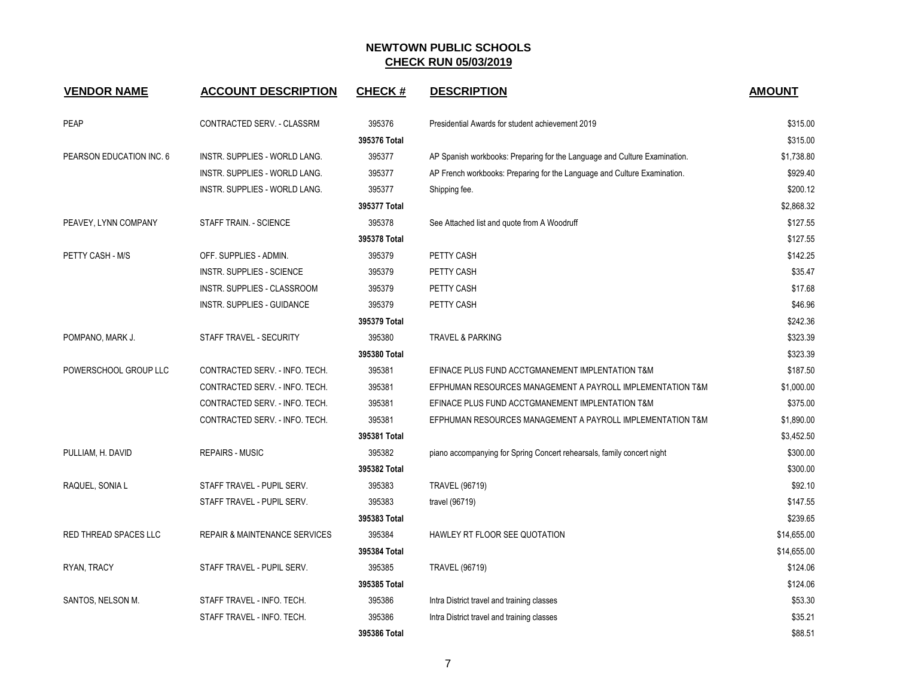| <b>VENDOR NAME</b>       | <b>ACCOUNT DESCRIPTION</b>               | <b>CHECK#</b> | <b>DESCRIPTION</b>                                                        | <b>AMOUNT</b> |
|--------------------------|------------------------------------------|---------------|---------------------------------------------------------------------------|---------------|
| <b>PEAP</b>              | CONTRACTED SERV. - CLASSRM               | 395376        | Presidential Awards for student achievement 2019                          | \$315.00      |
|                          |                                          | 395376 Total  |                                                                           | \$315.00      |
| PEARSON EDUCATION INC. 6 | INSTR. SUPPLIES - WORLD LANG.            | 395377        | AP Spanish workbooks: Preparing for the Language and Culture Examination. | \$1,738.80    |
|                          | INSTR. SUPPLIES - WORLD LANG.            | 395377        | AP French workbooks: Preparing for the Language and Culture Examination.  | \$929.40      |
|                          | INSTR. SUPPLIES - WORLD LANG.            | 395377        | Shipping fee.                                                             | \$200.12      |
|                          |                                          | 395377 Total  |                                                                           | \$2.868.32    |
| PEAVEY, LYNN COMPANY     | STAFF TRAIN. - SCIENCE                   | 395378        | See Attached list and quote from A Woodruff                               | \$127.55      |
|                          |                                          | 395378 Total  |                                                                           | \$127.55      |
| PETTY CASH - M/S         | OFF. SUPPLIES - ADMIN.                   | 395379        | PETTY CASH                                                                | \$142.25      |
|                          | <b>INSTR. SUPPLIES - SCIENCE</b>         | 395379        | PETTY CASH                                                                | \$35.47       |
|                          | INSTR. SUPPLIES - CLASSROOM              | 395379        | PETTY CASH                                                                | \$17.68       |
|                          | <b>INSTR. SUPPLIES - GUIDANCE</b>        | 395379        | PETTY CASH                                                                | \$46.96       |
|                          |                                          | 395379 Total  |                                                                           | \$242.36      |
| POMPANO, MARK J.         | STAFF TRAVEL - SECURITY                  | 395380        | <b>TRAVEL &amp; PARKING</b>                                               | \$323.39      |
|                          |                                          | 395380 Total  |                                                                           | \$323.39      |
| POWERSCHOOL GROUP LLC    | CONTRACTED SERV. - INFO. TECH.           | 395381        | EFINACE PLUS FUND ACCTGMANEMENT IMPLENTATION T&M                          | \$187.50      |
|                          | CONTRACTED SERV. - INFO. TECH.           | 395381        | EFPHUMAN RESOURCES MANAGEMENT A PAYROLL IMPLEMENTATION T&M                | \$1,000.00    |
|                          | CONTRACTED SERV. - INFO. TECH.           | 395381        | EFINACE PLUS FUND ACCTGMANEMENT IMPLENTATION T&M                          | \$375.00      |
|                          | CONTRACTED SERV. - INFO. TECH.           | 395381        | EFPHUMAN RESOURCES MANAGEMENT A PAYROLL IMPLEMENTATION T&M                | \$1,890.00    |
|                          |                                          | 395381 Total  |                                                                           | \$3,452.50    |
| PULLIAM, H. DAVID        | <b>REPAIRS - MUSIC</b>                   | 395382        | piano accompanying for Spring Concert rehearsals, family concert night    | \$300.00      |
|                          |                                          | 395382 Total  |                                                                           | \$300.00      |
| RAQUEL, SONIA L          | STAFF TRAVEL - PUPIL SERV.               | 395383        | <b>TRAVEL (96719)</b>                                                     | \$92.10       |
|                          | STAFF TRAVEL - PUPIL SERV.               | 395383        | travel (96719)                                                            | \$147.55      |
|                          |                                          | 395383 Total  |                                                                           | \$239.65      |
| RED THREAD SPACES LLC    | <b>REPAIR &amp; MAINTENANCE SERVICES</b> | 395384        | HAWLEY RT FLOOR SEE QUOTATION                                             | \$14,655.00   |
|                          |                                          | 395384 Total  |                                                                           | \$14,655.00   |
| RYAN, TRACY              | STAFF TRAVEL - PUPIL SERV.               | 395385        | <b>TRAVEL (96719)</b>                                                     | \$124.06      |
|                          |                                          | 395385 Total  |                                                                           | \$124.06      |
| SANTOS, NELSON M.        | STAFF TRAVEL - INFO. TECH.               | 395386        | Intra District travel and training classes                                | \$53.30       |
|                          | STAFF TRAVEL - INFO. TECH.               | 395386        | Intra District travel and training classes                                | \$35.21       |
|                          |                                          | 395386 Total  |                                                                           | \$88.51       |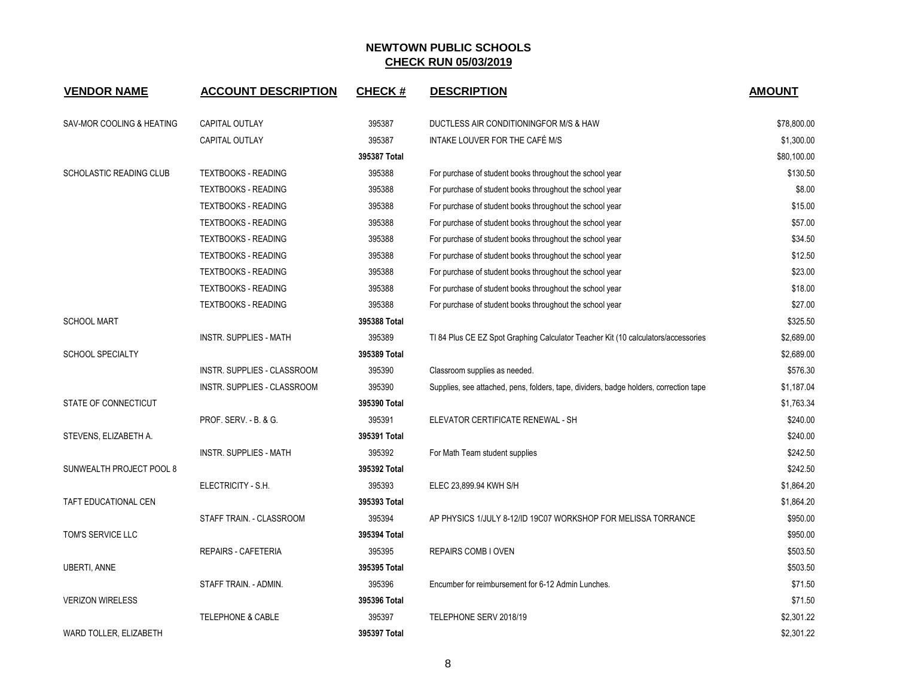| <b>VENDOR NAME</b>             | <b>ACCOUNT DESCRIPTION</b>       | <b>CHECK#</b> | <b>DESCRIPTION</b>                                                                    | <b>AMOUNT</b> |
|--------------------------------|----------------------------------|---------------|---------------------------------------------------------------------------------------|---------------|
| SAV-MOR COOLING & HEATING      | <b>CAPITAL OUTLAY</b>            | 395387        | DUCTLESS AIR CONDITIONINGFOR M/S & HAW                                                | \$78,800.00   |
|                                | <b>CAPITAL OUTLAY</b>            | 395387        | INTAKE LOUVER FOR THE CAFÉ M/S                                                        | \$1,300.00    |
|                                |                                  | 395387 Total  |                                                                                       | \$80,100.00   |
| <b>SCHOLASTIC READING CLUB</b> | <b>TEXTBOOKS - READING</b>       | 395388        | For purchase of student books throughout the school year                              | \$130.50      |
|                                | <b>TEXTBOOKS - READING</b>       | 395388        | For purchase of student books throughout the school year                              | \$8.00        |
|                                | <b>TEXTBOOKS - READING</b>       | 395388        | For purchase of student books throughout the school year                              | \$15.00       |
|                                | <b>TEXTBOOKS - READING</b>       | 395388        | For purchase of student books throughout the school year                              | \$57.00       |
|                                | <b>TEXTBOOKS - READING</b>       | 395388        | For purchase of student books throughout the school year                              | \$34.50       |
|                                | <b>TEXTBOOKS - READING</b>       | 395388        | For purchase of student books throughout the school year                              | \$12.50       |
|                                | <b>TEXTBOOKS - READING</b>       | 395388        | For purchase of student books throughout the school year                              | \$23.00       |
|                                | <b>TEXTBOOKS - READING</b>       | 395388        | For purchase of student books throughout the school year                              | \$18.00       |
|                                | <b>TEXTBOOKS - READING</b>       | 395388        | For purchase of student books throughout the school year                              | \$27.00       |
| <b>SCHOOL MART</b>             |                                  | 395388 Total  |                                                                                       | \$325.50      |
|                                | <b>INSTR. SUPPLIES - MATH</b>    | 395389        | TI 84 Plus CE EZ Spot Graphing Calculator Teacher Kit (10 calculators/accessories     | \$2,689.00    |
| <b>SCHOOL SPECIALTY</b>        |                                  | 395389 Total  |                                                                                       | \$2,689.00    |
|                                | INSTR. SUPPLIES - CLASSROOM      | 395390        | Classroom supplies as needed.                                                         | \$576.30      |
|                                | INSTR. SUPPLIES - CLASSROOM      | 395390        | Supplies, see attached, pens, folders, tape, dividers, badge holders, correction tape | \$1,187.04    |
| STATE OF CONNECTICUT           |                                  | 395390 Total  |                                                                                       | \$1,763.34    |
|                                | <b>PROF. SERV. - B. &amp; G.</b> | 395391        | ELEVATOR CERTIFICATE RENEWAL - SH                                                     | \$240.00      |
| STEVENS, ELIZABETH A.          |                                  | 395391 Total  |                                                                                       | \$240.00      |
|                                | <b>INSTR. SUPPLIES - MATH</b>    | 395392        | For Math Team student supplies                                                        | \$242.50      |
| SUNWEALTH PROJECT POOL 8       |                                  | 395392 Total  |                                                                                       | \$242.50      |
|                                | ELECTRICITY - S.H.               | 395393        | ELEC 23,899.94 KWH S/H                                                                | \$1,864.20    |
| TAFT EDUCATIONAL CEN           |                                  | 395393 Total  |                                                                                       | \$1,864.20    |
|                                | STAFF TRAIN. - CLASSROOM         | 395394        | AP PHYSICS 1/JULY 8-12/ID 19C07 WORKSHOP FOR MELISSA TORRANCE                         | \$950.00      |
| TOM'S SERVICE LLC              |                                  | 395394 Total  |                                                                                       | \$950.00      |
|                                | REPAIRS - CAFETERIA              | 395395        | <b>REPAIRS COMB I OVEN</b>                                                            | \$503.50      |
| <b>UBERTI, ANNE</b>            |                                  | 395395 Total  |                                                                                       | \$503.50      |
|                                | STAFF TRAIN. - ADMIN.            | 395396        | Encumber for reimbursement for 6-12 Admin Lunches.                                    | \$71.50       |
| <b>VERIZON WIRELESS</b>        |                                  | 395396 Total  |                                                                                       | \$71.50       |
|                                | TELEPHONE & CABLE                | 395397        | TELEPHONE SERV 2018/19                                                                | \$2,301.22    |
| WARD TOLLER, ELIZABETH         |                                  | 395397 Total  |                                                                                       | \$2,301.22    |